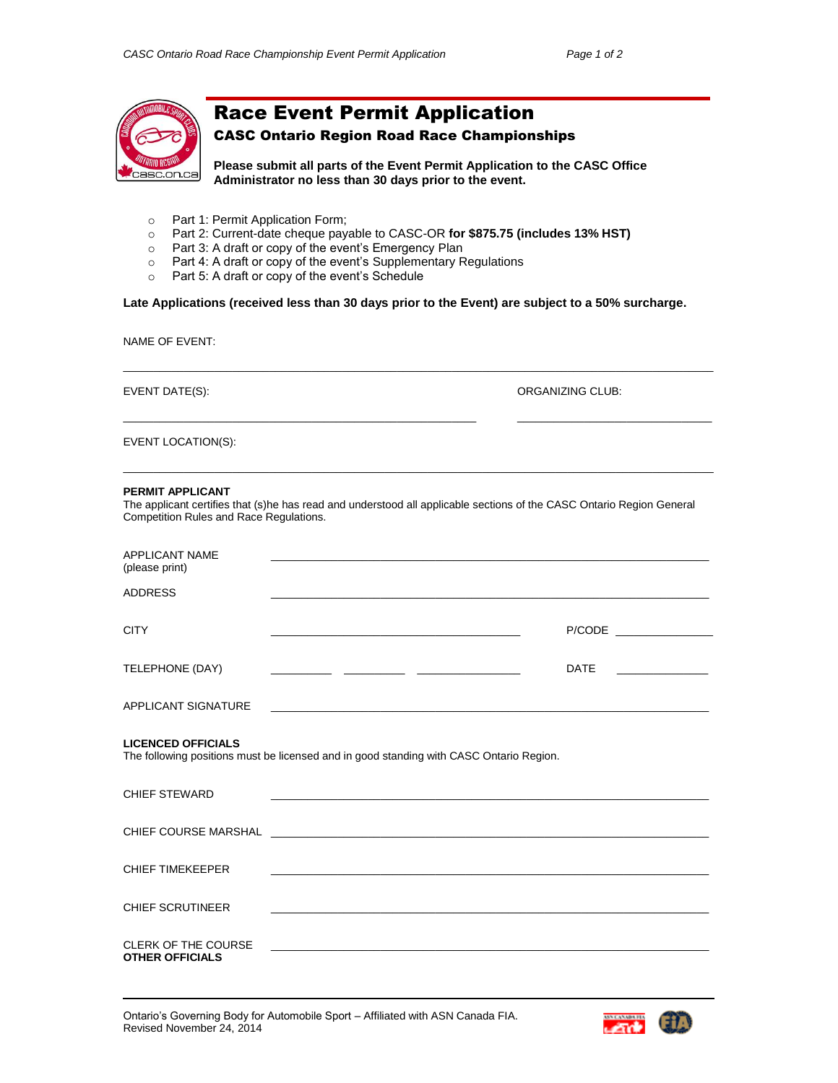

## Race Event Permit Application

## CASC Ontario Region Road Race Championships

**Please submit all parts of the Event Permit Application to the CASC Office Administrator no less than 30 days prior to the event.**

- o Part 1: Permit Application Form;
- o Part 2: Current-date cheque payable to CASC-OR **for \$875.75 (includes 13% HST)**
- o Part 3: A draft or copy of the event's Emergency Plan
- o Part 4: A draft or copy of the event's Supplementary Regulations
- o Part 5: A draft or copy of the event's Schedule

## **Late Applications (received less than 30 days prior to the Event) are subject to a 50% surcharge.**

 $\_$  ,  $\_$  ,  $\_$  ,  $\_$  ,  $\_$  ,  $\_$  ,  $\_$  ,  $\_$  ,  $\_$  ,  $\_$  ,  $\_$  ,  $\_$  ,  $\_$  ,  $\_$  ,  $\_$  ,  $\_$  ,  $\_$  ,  $\_$  ,  $\_$  ,  $\_$  ,  $\_$  ,  $\_$  ,  $\_$  ,  $\_$  ,  $\_$  ,  $\_$  ,  $\_$  ,  $\_$  ,  $\_$  ,  $\_$  ,  $\_$  ,  $\_$  ,  $\_$  ,  $\_$  ,  $\_$  ,  $\_$  ,  $\_$  ,

 $\_$  ,  $\_$  ,  $\_$  ,  $\_$  ,  $\_$  ,  $\_$  ,  $\_$  ,  $\_$  ,  $\_$  ,  $\_$  ,  $\_$  ,  $\_$  ,  $\_$  ,  $\_$  ,  $\_$  ,  $\_$  ,  $\_$  ,  $\_$  ,  $\_$  ,  $\_$  ,  $\_$  ,  $\_$  ,  $\_$  ,  $\_$  ,  $\_$  ,  $\_$  ,  $\_$  ,  $\_$  ,  $\_$  ,  $\_$  ,  $\_$  ,  $\_$  ,  $\_$  ,  $\_$  ,  $\_$  ,  $\_$  ,  $\_$  ,

 $\_$  ,  $\_$  ,  $\_$  ,  $\_$  ,  $\_$  ,  $\_$  ,  $\_$  ,  $\_$  ,  $\_$  ,  $\_$  ,  $\_$  ,  $\_$  ,  $\_$  ,  $\_$  ,  $\_$  ,  $\_$  ,  $\_$  ,  $\_$  ,  $\_$  ,  $\_$  ,  $\_$  ,  $\_$  ,  $\_$  ,  $\_$  ,  $\_$  ,  $\_$  ,  $\_$  ,  $\_$  ,  $\_$  ,  $\_$  ,  $\_$  ,  $\_$  ,  $\_$  ,  $\_$  ,  $\_$  ,  $\_$  ,  $\_$  ,

NAME OF EVENT:

EVENT DATE(S): ORGANIZING CLUB:

EVENT LOCATION(S):

## **PERMIT APPLICANT**

The applicant certifies that (s)he has read and understood all applicable sections of the CASC Ontario Region General Competition Rules and Race Regulations.

| <b>APPLICANT NAME</b><br>(please print)              | <u> 1980 - John Stone, Amerikaansk politiker (</u> † 1902)                                                            |             |
|------------------------------------------------------|-----------------------------------------------------------------------------------------------------------------------|-------------|
| <b>ADDRESS</b>                                       | <u> 1989 - Johann Stoff, amerikansk politiker (d. 1989)</u>                                                           |             |
| <b>CITY</b>                                          |                                                                                                                       |             |
| TELEPHONE (DAY)                                      |                                                                                                                       | <b>DATE</b> |
| APPLICANT SIGNATURE                                  |                                                                                                                       |             |
| <b>LICENCED OFFICIALS</b>                            | The following positions must be licensed and in good standing with CASC Ontario Region.                               |             |
| <b>CHIEF STEWARD</b>                                 | <u> 1989 - Johann Stoff, amerikansk politiker (d. 1989)</u>                                                           |             |
|                                                      |                                                                                                                       |             |
| <b>CHIEF TIMEKEEPER</b>                              |                                                                                                                       |             |
| <b>CHIEF SCRUTINEER</b>                              | <u> 1989 - Johann Stoff, deutscher Stoff, der Stoff, der Stoff, der Stoff, der Stoff, der Stoff, der Stoff, der S</u> |             |
| <b>CLERK OF THE COURSE</b><br><b>OTHER OFFICIALS</b> |                                                                                                                       |             |